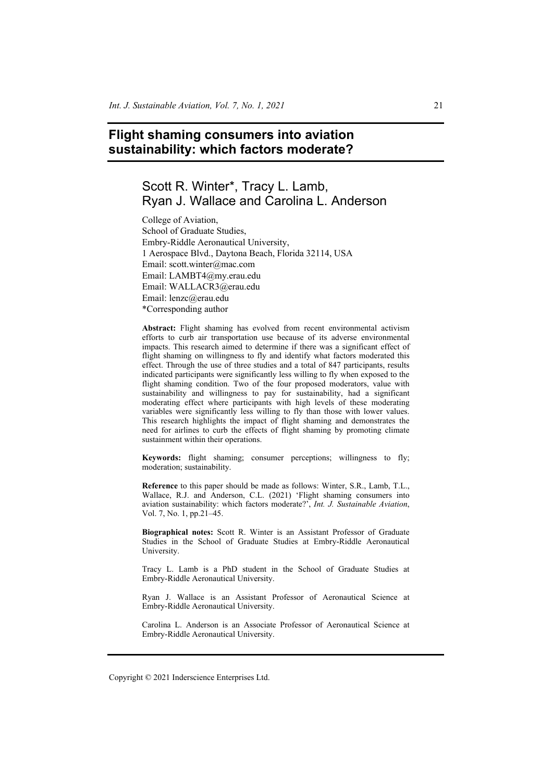# **Flight shaming consumers into aviation sustainability: which factors moderate?**

# Scott R. Winter\*, Tracy L. Lamb, Ryan J. Wallace and Carolina L. Anderson

College of Aviation, School of Graduate Studies, Embry-Riddle Aeronautical University, 1 Aerospace Blvd., Daytona Beach, Florida 32114, USA Email: scott.winter@mac.com Email: LAMBT4@my.erau.edu Email: WALLACR3@erau.edu Email: lenzc@erau.edu \*Corresponding author

**Abstract:** Flight shaming has evolved from recent environmental activism efforts to curb air transportation use because of its adverse environmental impacts. This research aimed to determine if there was a significant effect of flight shaming on willingness to fly and identify what factors moderated this effect. Through the use of three studies and a total of 847 participants, results indicated participants were significantly less willing to fly when exposed to the flight shaming condition. Two of the four proposed moderators, value with sustainability and willingness to pay for sustainability, had a significant moderating effect where participants with high levels of these moderating variables were significantly less willing to fly than those with lower values. This research highlights the impact of flight shaming and demonstrates the need for airlines to curb the effects of flight shaming by promoting climate sustainment within their operations.

**Keywords:** flight shaming; consumer perceptions; willingness to fly; moderation; sustainability.

**Reference** to this paper should be made as follows: Winter, S.R., Lamb, T.L., Wallace, R.J. and Anderson, C.L. (2021) 'Flight shaming consumers into aviation sustainability: which factors moderate?', *Int. J. Sustainable Aviation*, Vol. 7, No. 1, pp.21–45.

**Biographical notes:** Scott R. Winter is an Assistant Professor of Graduate Studies in the School of Graduate Studies at Embry-Riddle Aeronautical University.

Tracy L. Lamb is a PhD student in the School of Graduate Studies at Embry-Riddle Aeronautical University.

Ryan J. Wallace is an Assistant Professor of Aeronautical Science at Embry-Riddle Aeronautical University.

Carolina L. Anderson is an Associate Professor of Aeronautical Science at Embry-Riddle Aeronautical University.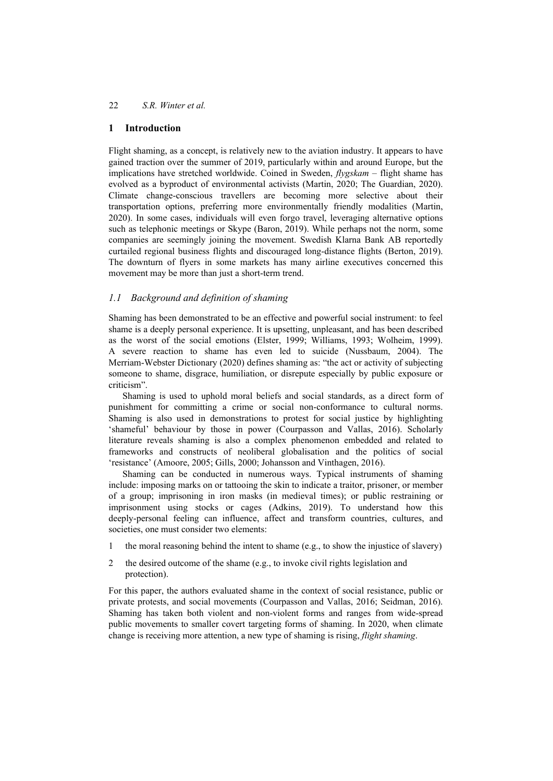## **1 Introduction**

Flight shaming, as a concept, is relatively new to the aviation industry. It appears to have gained traction over the summer of 2019, particularly within and around Europe, but the implications have stretched worldwide. Coined in Sweden, *flygskam* – flight shame has evolved as a byproduct of environmental activists (Martin, 2020; The Guardian, 2020). Climate change-conscious travellers are becoming more selective about their transportation options, preferring more environmentally friendly modalities (Martin, 2020). In some cases, individuals will even forgo travel, leveraging alternative options such as telephonic meetings or Skype (Baron, 2019). While perhaps not the norm, some companies are seemingly joining the movement. Swedish Klarna Bank AB reportedly curtailed regional business flights and discouraged long-distance flights (Berton, 2019). The downturn of flyers in some markets has many airline executives concerned this movement may be more than just a short-term trend.

## *1.1 Background and definition of shaming*

Shaming has been demonstrated to be an effective and powerful social instrument: to feel shame is a deeply personal experience. It is upsetting, unpleasant, and has been described as the worst of the social emotions (Elster, 1999; Williams, 1993; Wolheim, 1999). A severe reaction to shame has even led to suicide (Nussbaum, 2004). The Merriam-Webster Dictionary (2020) defines shaming as: "the act or activity of subjecting someone to shame, disgrace, humiliation, or disrepute especially by public exposure or criticism".

Shaming is used to uphold moral beliefs and social standards, as a direct form of punishment for committing a crime or social non-conformance to cultural norms. Shaming is also used in demonstrations to protest for social justice by highlighting 'shameful' behaviour by those in power (Courpasson and Vallas, 2016). Scholarly literature reveals shaming is also a complex phenomenon embedded and related to frameworks and constructs of neoliberal globalisation and the politics of social 'resistance' (Amoore, 2005; Gills, 2000; Johansson and Vinthagen, 2016).

Shaming can be conducted in numerous ways. Typical instruments of shaming include: imposing marks on or tattooing the skin to indicate a traitor, prisoner, or member of a group; imprisoning in iron masks (in medieval times); or public restraining or imprisonment using stocks or cages (Adkins, 2019). To understand how this deeply-personal feeling can influence, affect and transform countries, cultures, and societies, one must consider two elements:

- 1 the moral reasoning behind the intent to shame (e.g., to show the injustice of slavery)
- 2 the desired outcome of the shame (e.g., to invoke civil rights legislation and protection).

For this paper, the authors evaluated shame in the context of social resistance, public or private protests, and social movements (Courpasson and Vallas, 2016; Seidman, 2016). Shaming has taken both violent and non-violent forms and ranges from wide-spread public movements to smaller covert targeting forms of shaming. In 2020, when climate change is receiving more attention, a new type of shaming is rising, *flight shaming*.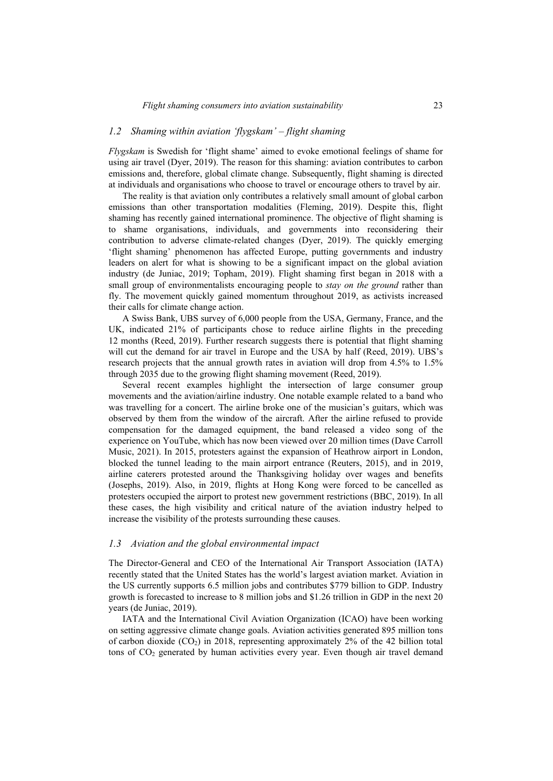### *1.2 Shaming within aviation 'flygskam' – flight shaming*

*Flygskam* is Swedish for 'flight shame' aimed to evoke emotional feelings of shame for using air travel (Dyer, 2019). The reason for this shaming: aviation contributes to carbon emissions and, therefore, global climate change. Subsequently, flight shaming is directed at individuals and organisations who choose to travel or encourage others to travel by air.

The reality is that aviation only contributes a relatively small amount of global carbon emissions than other transportation modalities (Fleming, 2019). Despite this, flight shaming has recently gained international prominence. The objective of flight shaming is to shame organisations, individuals, and governments into reconsidering their contribution to adverse climate-related changes (Dyer, 2019). The quickly emerging 'flight shaming' phenomenon has affected Europe, putting governments and industry leaders on alert for what is showing to be a significant impact on the global aviation industry (de Juniac, 2019; Topham, 2019). Flight shaming first began in 2018 with a small group of environmentalists encouraging people to *stay on the ground* rather than fly. The movement quickly gained momentum throughout 2019, as activists increased their calls for climate change action.

A Swiss Bank, UBS survey of 6,000 people from the USA, Germany, France, and the UK, indicated 21% of participants chose to reduce airline flights in the preceding 12 months (Reed, 2019). Further research suggests there is potential that flight shaming will cut the demand for air travel in Europe and the USA by half (Reed, 2019). UBS's research projects that the annual growth rates in aviation will drop from 4.5% to 1.5% through 2035 due to the growing flight shaming movement (Reed, 2019).

Several recent examples highlight the intersection of large consumer group movements and the aviation/airline industry. One notable example related to a band who was travelling for a concert. The airline broke one of the musician's guitars, which was observed by them from the window of the aircraft. After the airline refused to provide compensation for the damaged equipment, the band released a video song of the experience on YouTube, which has now been viewed over 20 million times (Dave Carroll Music, 2021). In 2015, protesters against the expansion of Heathrow airport in London, blocked the tunnel leading to the main airport entrance (Reuters, 2015), and in 2019, airline caterers protested around the Thanksgiving holiday over wages and benefits (Josephs, 2019). Also, in 2019, flights at Hong Kong were forced to be cancelled as protesters occupied the airport to protest new government restrictions (BBC, 2019). In all these cases, the high visibility and critical nature of the aviation industry helped to increase the visibility of the protests surrounding these causes.

#### *1.3 Aviation and the global environmental impact*

The Director-General and CEO of the International Air Transport Association (IATA) recently stated that the United States has the world's largest aviation market. Aviation in the US currently supports 6.5 million jobs and contributes \$779 billion to GDP. Industry growth is forecasted to increase to 8 million jobs and \$1.26 trillion in GDP in the next 20 years (de Juniac, 2019).

IATA and the International Civil Aviation Organization (ICAO) have been working on setting aggressive climate change goals. Aviation activities generated 895 million tons of carbon dioxide  $(CO_2)$  in 2018, representing approximately 2% of the 42 billion total tons of CO<sub>2</sub> generated by human activities every year. Even though air travel demand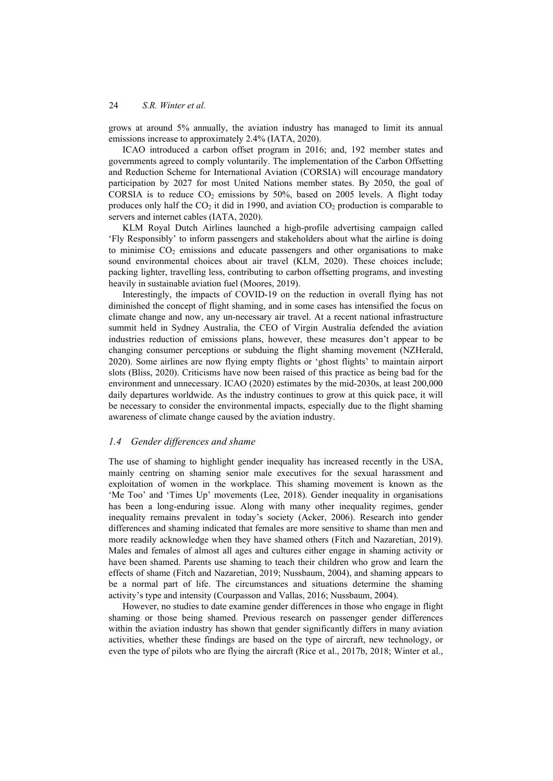grows at around 5% annually, the aviation industry has managed to limit its annual emissions increase to approximately 2.4% (IATA, 2020).

ICAO introduced a carbon offset program in 2016; and, 192 member states and governments agreed to comply voluntarily. The implementation of the Carbon Offsetting and Reduction Scheme for International Aviation (CORSIA) will encourage mandatory participation by 2027 for most United Nations member states. By 2050, the goal of CORSIA is to reduce  $CO<sub>2</sub>$  emissions by 50%, based on 2005 levels. A flight today produces only half the  $CO<sub>2</sub>$  it did in 1990, and aviation  $CO<sub>2</sub>$  production is comparable to servers and internet cables (IATA, 2020).

KLM Royal Dutch Airlines launched a high-profile advertising campaign called 'Fly Responsibly' to inform passengers and stakeholders about what the airline is doing to minimise  $CO<sub>2</sub>$  emissions and educate passengers and other organisations to make sound environmental choices about air travel (KLM, 2020). These choices include; packing lighter, travelling less, contributing to carbon offsetting programs, and investing heavily in sustainable aviation fuel (Moores, 2019).

Interestingly, the impacts of COVID-19 on the reduction in overall flying has not diminished the concept of flight shaming, and in some cases has intensified the focus on climate change and now, any un-necessary air travel. At a recent national infrastructure summit held in Sydney Australia, the CEO of Virgin Australia defended the aviation industries reduction of emissions plans, however, these measures don't appear to be changing consumer perceptions or subduing the flight shaming movement (NZHerald, 2020). Some airlines are now flying empty flights or 'ghost flights' to maintain airport slots (Bliss, 2020). Criticisms have now been raised of this practice as being bad for the environment and unnecessary. ICAO (2020) estimates by the mid-2030s, at least 200,000 daily departures worldwide. As the industry continues to grow at this quick pace, it will be necessary to consider the environmental impacts, especially due to the flight shaming awareness of climate change caused by the aviation industry.

#### *1.4 Gender differences and shame*

The use of shaming to highlight gender inequality has increased recently in the USA, mainly centring on shaming senior male executives for the sexual harassment and exploitation of women in the workplace. This shaming movement is known as the 'Me Too' and 'Times Up' movements (Lee, 2018). Gender inequality in organisations has been a long-enduring issue. Along with many other inequality regimes, gender inequality remains prevalent in today's society (Acker, 2006). Research into gender differences and shaming indicated that females are more sensitive to shame than men and more readily acknowledge when they have shamed others (Fitch and Nazaretian, 2019). Males and females of almost all ages and cultures either engage in shaming activity or have been shamed. Parents use shaming to teach their children who grow and learn the effects of shame (Fitch and Nazaretian, 2019; Nussbaum, 2004), and shaming appears to be a normal part of life. The circumstances and situations determine the shaming activity's type and intensity (Courpasson and Vallas, 2016; Nussbaum, 2004).

However, no studies to date examine gender differences in those who engage in flight shaming or those being shamed. Previous research on passenger gender differences within the aviation industry has shown that gender significantly differs in many aviation activities, whether these findings are based on the type of aircraft, new technology, or even the type of pilots who are flying the aircraft (Rice et al., 2017b, 2018; Winter et al.,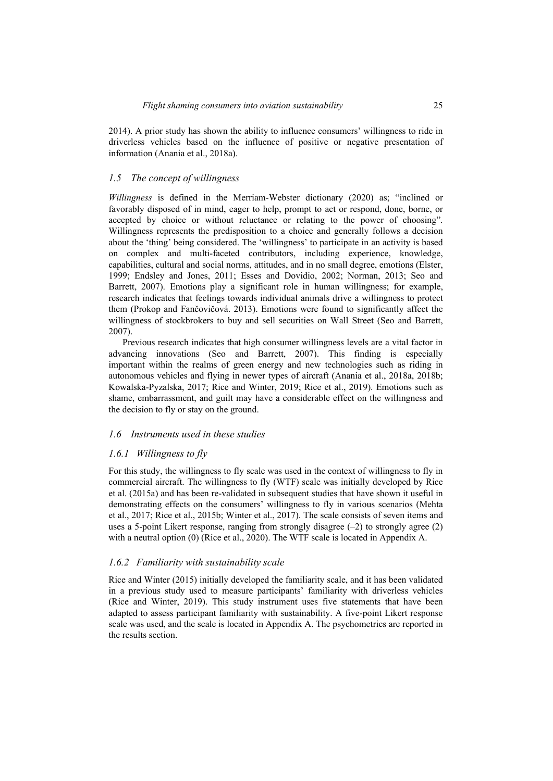2014). A prior study has shown the ability to influence consumers' willingness to ride in driverless vehicles based on the influence of positive or negative presentation of information (Anania et al., 2018a).

#### *1.5 The concept of willingness*

*Willingness* is defined in the Merriam-Webster dictionary (2020) as; "inclined or favorably disposed of in mind, eager to help, prompt to act or respond, done, borne, or accepted by choice or without reluctance or relating to the power of choosing". Willingness represents the predisposition to a choice and generally follows a decision about the 'thing' being considered. The 'willingness' to participate in an activity is based on complex and multi-faceted contributors, including experience, knowledge, capabilities, cultural and social norms, attitudes, and in no small degree, emotions (Elster, 1999; Endsley and Jones, 2011; Esses and Dovidio, 2002; Norman, 2013; Seo and Barrett, 2007). Emotions play a significant role in human willingness; for example, research indicates that feelings towards individual animals drive a willingness to protect them (Prokop and Fančovičová. 2013). Emotions were found to significantly affect the willingness of stockbrokers to buy and sell securities on Wall Street (Seo and Barrett, 2007).

Previous research indicates that high consumer willingness levels are a vital factor in advancing innovations (Seo and Barrett, 2007). This finding is especially important within the realms of green energy and new technologies such as riding in autonomous vehicles and flying in newer types of aircraft (Anania et al., 2018a, 2018b; Kowalska-Pyzalska, 2017; Rice and Winter, 2019; Rice et al., 2019). Emotions such as shame, embarrassment, and guilt may have a considerable effect on the willingness and the decision to fly or stay on the ground.

#### *1.6 Instruments used in these studies*

#### *1.6.1 Willingness to fly*

For this study, the willingness to fly scale was used in the context of willingness to fly in commercial aircraft. The willingness to fly (WTF) scale was initially developed by Rice et al. (2015a) and has been re-validated in subsequent studies that have shown it useful in demonstrating effects on the consumers' willingness to fly in various scenarios (Mehta et al., 2017; Rice et al., 2015b; Winter et al., 2017). The scale consists of seven items and uses a 5-point Likert response, ranging from strongly disagree  $(-2)$  to strongly agree  $(2)$ with a neutral option (0) (Rice et al., 2020). The WTF scale is located in Appendix A.

#### *1.6.2 Familiarity with sustainability scale*

Rice and Winter (2015) initially developed the familiarity scale, and it has been validated in a previous study used to measure participants' familiarity with driverless vehicles (Rice and Winter, 2019). This study instrument uses five statements that have been adapted to assess participant familiarity with sustainability. A five-point Likert response scale was used, and the scale is located in Appendix A. The psychometrics are reported in the results section.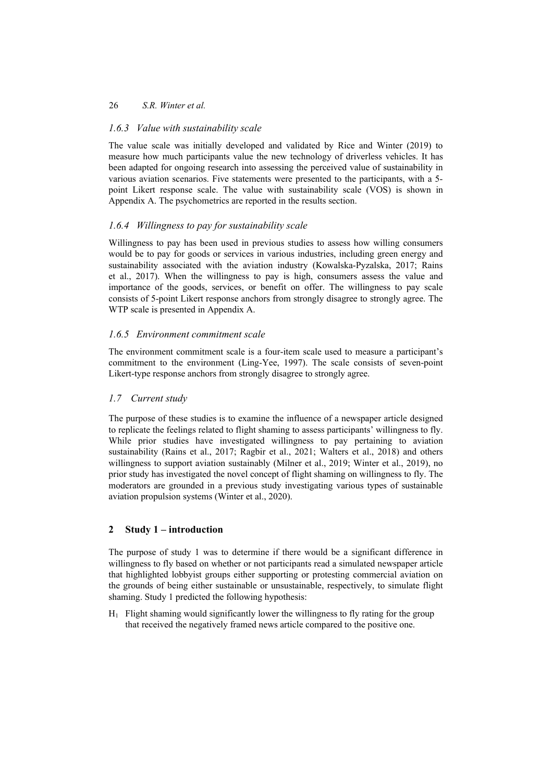## *1.6.3 Value with sustainability scale*

The value scale was initially developed and validated by Rice and Winter (2019) to measure how much participants value the new technology of driverless vehicles. It has been adapted for ongoing research into assessing the perceived value of sustainability in various aviation scenarios. Five statements were presented to the participants, with a 5 point Likert response scale. The value with sustainability scale (VOS) is shown in Appendix A. The psychometrics are reported in the results section.

## *1.6.4 Willingness to pay for sustainability scale*

Willingness to pay has been used in previous studies to assess how willing consumers would be to pay for goods or services in various industries, including green energy and sustainability associated with the aviation industry (Kowalska-Pyzalska, 2017; Rains et al., 2017). When the willingness to pay is high, consumers assess the value and importance of the goods, services, or benefit on offer. The willingness to pay scale consists of 5-point Likert response anchors from strongly disagree to strongly agree. The WTP scale is presented in Appendix A.

## *1.6.5 Environment commitment scale*

The environment commitment scale is a four-item scale used to measure a participant's commitment to the environment (Ling-Yee, 1997). The scale consists of seven-point Likert-type response anchors from strongly disagree to strongly agree.

## *1.7 Current study*

The purpose of these studies is to examine the influence of a newspaper article designed to replicate the feelings related to flight shaming to assess participants' willingness to fly. While prior studies have investigated willingness to pay pertaining to aviation sustainability (Rains et al., 2017; Ragbir et al., 2021; Walters et al., 2018) and others willingness to support aviation sustainably (Milner et al., 2019; Winter et al., 2019), no prior study has investigated the novel concept of flight shaming on willingness to fly. The moderators are grounded in a previous study investigating various types of sustainable aviation propulsion systems (Winter et al., 2020).

## **2 Study 1 – introduction**

The purpose of study 1 was to determine if there would be a significant difference in willingness to fly based on whether or not participants read a simulated newspaper article that highlighted lobbyist groups either supporting or protesting commercial aviation on the grounds of being either sustainable or unsustainable, respectively, to simulate flight shaming. Study 1 predicted the following hypothesis:

 $H_1$  Flight shaming would significantly lower the willingness to fly rating for the group that received the negatively framed news article compared to the positive one.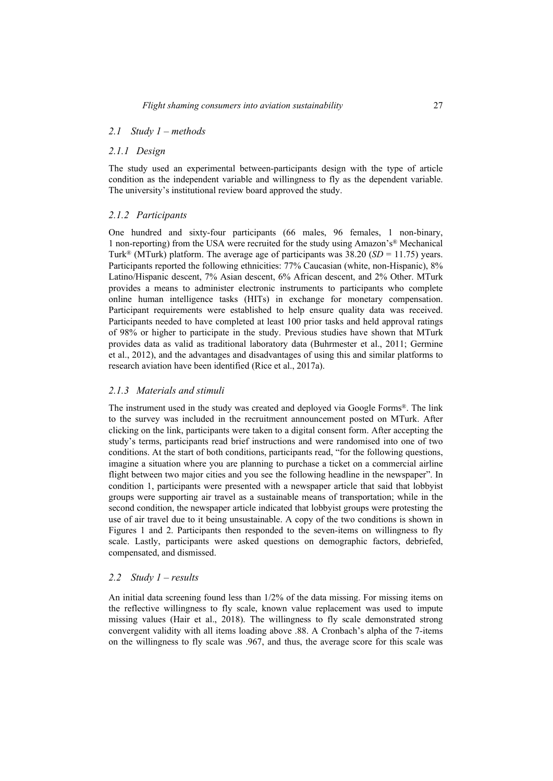### *2.1 Study 1 – methods*

### *2.1.1 Design*

The study used an experimental between-participants design with the type of article condition as the independent variable and willingness to fly as the dependent variable. The university's institutional review board approved the study.

## *2.1.2 Participants*

One hundred and sixty-four participants (66 males, 96 females, 1 non-binary, 1 non-reporting) from the USA were recruited for the study using Amazon's® Mechanical Turk<sup>®</sup> (MTurk) platform. The average age of participants was 38.20 (*SD* = 11.75) years. Participants reported the following ethnicities: 77% Caucasian (white, non-Hispanic), 8% Latino/Hispanic descent, 7% Asian descent, 6% African descent, and 2% Other. MTurk provides a means to administer electronic instruments to participants who complete online human intelligence tasks (HITs) in exchange for monetary compensation. Participant requirements were established to help ensure quality data was received. Participants needed to have completed at least 100 prior tasks and held approval ratings of 98% or higher to participate in the study. Previous studies have shown that MTurk provides data as valid as traditional laboratory data (Buhrmester et al., 2011; Germine et al., 2012), and the advantages and disadvantages of using this and similar platforms to research aviation have been identified (Rice et al., 2017a).

## *2.1.3 Materials and stimuli*

The instrument used in the study was created and deployed via Google Forms®. The link to the survey was included in the recruitment announcement posted on MTurk. After clicking on the link, participants were taken to a digital consent form. After accepting the study's terms, participants read brief instructions and were randomised into one of two conditions. At the start of both conditions, participants read, "for the following questions, imagine a situation where you are planning to purchase a ticket on a commercial airline flight between two major cities and you see the following headline in the newspaper". In condition 1, participants were presented with a newspaper article that said that lobbyist groups were supporting air travel as a sustainable means of transportation; while in the second condition, the newspaper article indicated that lobbyist groups were protesting the use of air travel due to it being unsustainable. A copy of the two conditions is shown in Figures 1 and 2. Participants then responded to the seven-items on willingness to fly scale. Lastly, participants were asked questions on demographic factors, debriefed, compensated, and dismissed.

## *2.2 Study 1 – results*

An initial data screening found less than 1/2% of the data missing. For missing items on the reflective willingness to fly scale, known value replacement was used to impute missing values (Hair et al., 2018). The willingness to fly scale demonstrated strong convergent validity with all items loading above .88. A Cronbach's alpha of the 7-items on the willingness to fly scale was .967, and thus, the average score for this scale was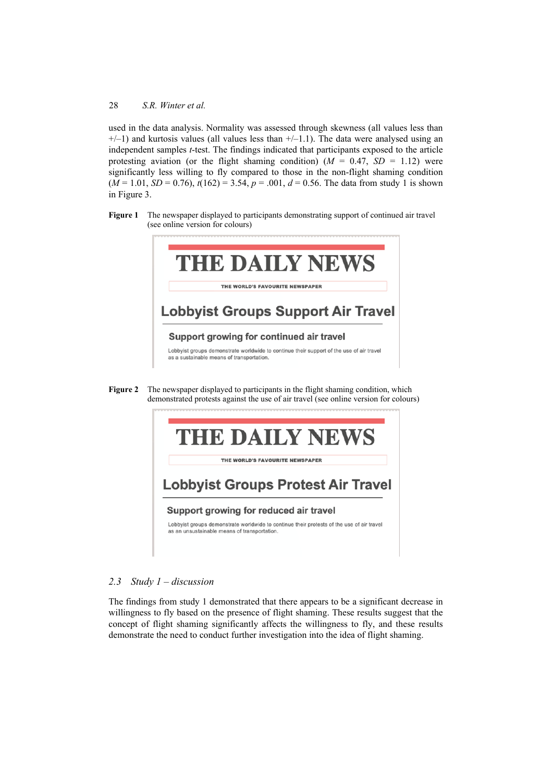used in the data analysis. Normality was assessed through skewness (all values less than  $+/-1$ ) and kurtosis values (all values less than  $+/-1.1$ ). The data were analysed using an independent samples *t*-test. The findings indicated that participants exposed to the article protesting aviation (or the flight shaming condition)  $(M = 0.47, SD = 1.12)$  were significantly less willing to fly compared to those in the non-flight shaming condition  $(M = 1.01, SD = 0.76)$ ,  $t(162) = 3.54$ ,  $p = .001$ ,  $d = 0.56$ . The data from study 1 is shown in Figure 3.

**Figure 1** The newspaper displayed to participants demonstrating support of continued air travel (see online version for colours)



**Figure 2** The newspaper displayed to participants in the flight shaming condition, which demonstrated protests against the use of air travel (see online version for colours)



## *2.3 Study 1 – discussion*

The findings from study 1 demonstrated that there appears to be a significant decrease in willingness to fly based on the presence of flight shaming. These results suggest that the concept of flight shaming significantly affects the willingness to fly, and these results demonstrate the need to conduct further investigation into the idea of flight shaming.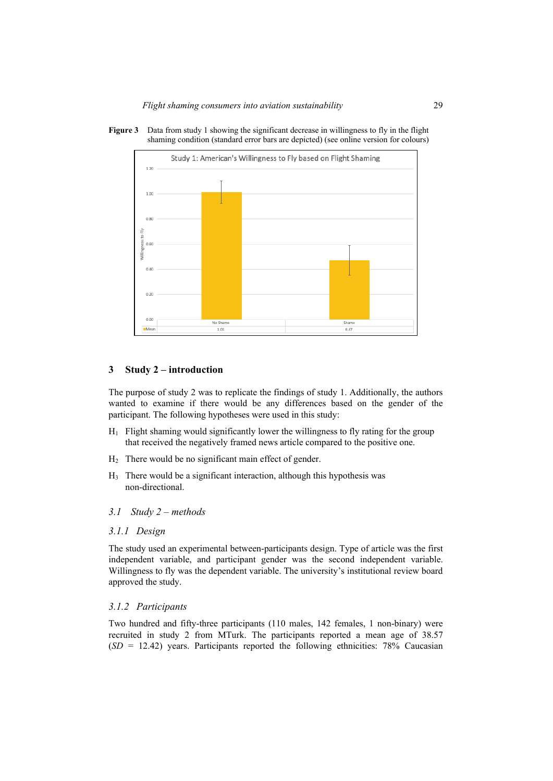**Figure 3** Data from study 1 showing the significant decrease in willingness to fly in the flight shaming condition (standard error bars are depicted) (see online version for colours)



#### **3 Study 2 – introduction**

The purpose of study 2 was to replicate the findings of study 1. Additionally, the authors wanted to examine if there would be any differences based on the gender of the participant. The following hypotheses were used in this study:

- H1 Flight shaming would significantly lower the willingness to fly rating for the group that received the negatively framed news article compared to the positive one.
- H2 There would be no significant main effect of gender.
- $H<sub>3</sub>$  There would be a significant interaction, although this hypothesis was non-directional.
- *3.1 Study 2 methods*

#### *3.1.1 Design*

The study used an experimental between-participants design. Type of article was the first independent variable, and participant gender was the second independent variable. Willingness to fly was the dependent variable. The university's institutional review board approved the study.

#### *3.1.2 Participants*

Two hundred and fifty-three participants (110 males, 142 females, 1 non-binary) were recruited in study 2 from MTurk. The participants reported a mean age of 38.57 (*SD* = 12.42) years. Participants reported the following ethnicities: 78% Caucasian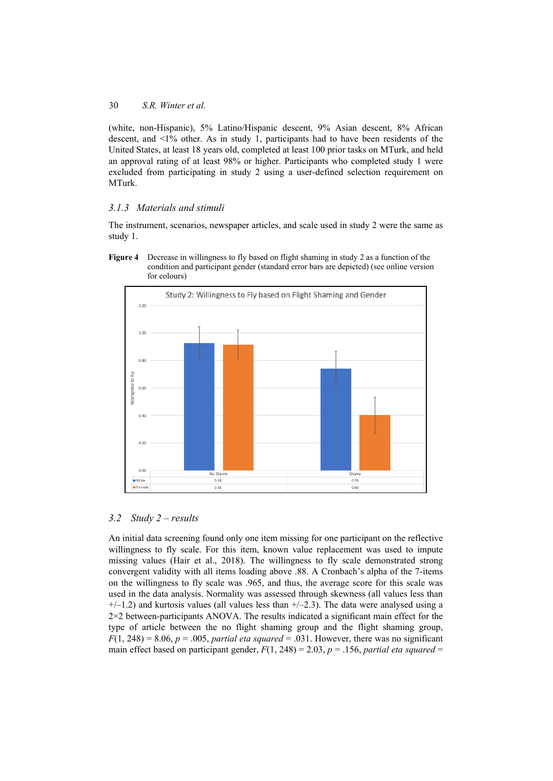(white, non-Hispanic), 5% Latino/Hispanic descent, 9% Asian descent, 8% African descent, and <1% other. As in study 1, participants had to have been residents of the United States, at least 18 years old, completed at least 100 prior tasks on MTurk, and held an approval rating of at least 98% or higher. Participants who completed study 1 were excluded from participating in study 2 using a user-defined selection requirement on MTurk.

## *3.1.3 Materials and stimuli*

The instrument, scenarios, newspaper articles, and scale used in study 2 were the same as study 1.

**Figure 4** Decrease in willingness to fly based on flight shaming in study 2 as a function of the condition and participant gender (standard error bars are depicted) (see online version for colours)



## *3.2 Study 2 – results*

An initial data screening found only one item missing for one participant on the reflective willingness to fly scale. For this item, known value replacement was used to impute missing values (Hair et al., 2018). The willingness to fly scale demonstrated strong convergent validity with all items loading above .88. A Cronbach's alpha of the 7-items on the willingness to fly scale was .965, and thus, the average score for this scale was used in the data analysis. Normality was assessed through skewness (all values less than  $+/-1.2$ ) and kurtosis values (all values less than  $+/-2.3$ ). The data were analysed using a 2×2 between-participants ANOVA. The results indicated a significant main effect for the type of article between the no flight shaming group and the flight shaming group,  $F(1, 248) = 8.06$ ,  $p = .005$ , *partial eta squared* = .031. However, there was no significant main effect based on participant gender,  $F(1, 248) = 2.03$ ,  $p = .156$ , *partial eta squared* =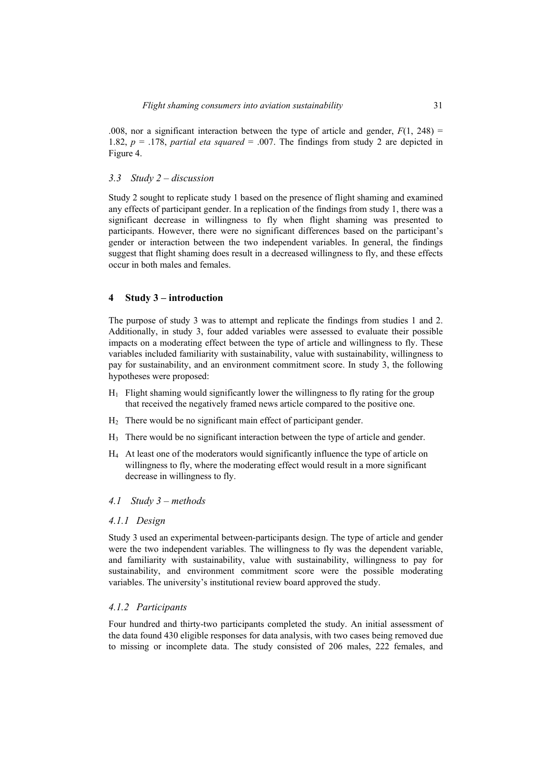.008, nor a significant interaction between the type of article and gender,  $F(1, 248) =$ 1.82,  $p = 0.178$ , *partial eta squared* = .007. The findings from study 2 are depicted in Figure 4.

#### *3.3 Study 2 – discussion*

Study 2 sought to replicate study 1 based on the presence of flight shaming and examined any effects of participant gender. In a replication of the findings from study 1, there was a significant decrease in willingness to fly when flight shaming was presented to participants. However, there were no significant differences based on the participant's gender or interaction between the two independent variables. In general, the findings suggest that flight shaming does result in a decreased willingness to fly, and these effects occur in both males and females.

#### **4 Study 3 – introduction**

The purpose of study 3 was to attempt and replicate the findings from studies 1 and 2. Additionally, in study 3, four added variables were assessed to evaluate their possible impacts on a moderating effect between the type of article and willingness to fly. These variables included familiarity with sustainability, value with sustainability, willingness to pay for sustainability, and an environment commitment score. In study 3, the following hypotheses were proposed:

- $H_1$  Flight shaming would significantly lower the willingness to fly rating for the group that received the negatively framed news article compared to the positive one.
- $H<sub>2</sub>$  There would be no significant main effect of participant gender.
- H3 There would be no significant interaction between the type of article and gender.
- H4 At least one of the moderators would significantly influence the type of article on willingness to fly, where the moderating effect would result in a more significant decrease in willingness to fly.

#### *4.1 Study 3 – methods*

#### *4.1.1 Design*

Study 3 used an experimental between-participants design. The type of article and gender were the two independent variables. The willingness to fly was the dependent variable, and familiarity with sustainability, value with sustainability, willingness to pay for sustainability, and environment commitment score were the possible moderating variables. The university's institutional review board approved the study.

#### *4.1.2 Participants*

Four hundred and thirty-two participants completed the study. An initial assessment of the data found 430 eligible responses for data analysis, with two cases being removed due to missing or incomplete data. The study consisted of 206 males, 222 females, and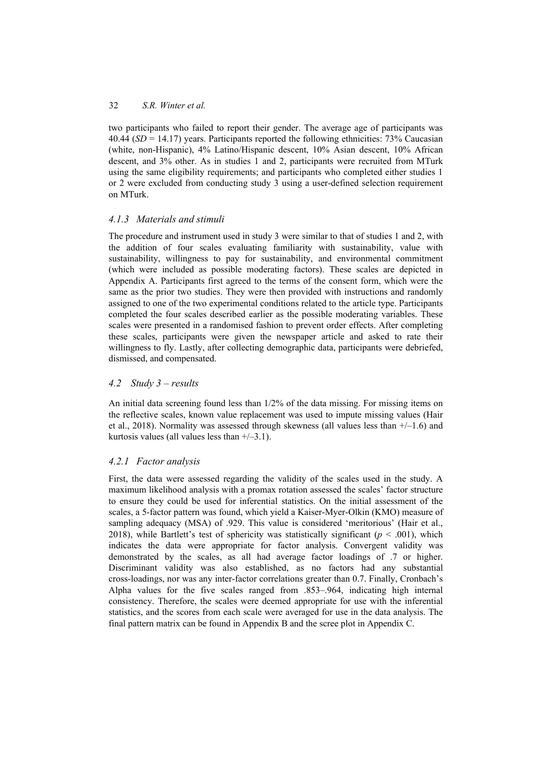two participants who failed to report their gender. The average age of participants was 40.44 (*SD* = 14.17) years. Participants reported the following ethnicities: 73% Caucasian (white, non-Hispanic), 4% Latino/Hispanic descent, 10% Asian descent, 10% African descent, and 3% other. As in studies 1 and 2, participants were recruited from MTurk using the same eligibility requirements; and participants who completed either studies 1 or 2 were excluded from conducting study 3 using a user-defined selection requirement on MTurk.

## *4.1.3 Materials and stimuli*

The procedure and instrument used in study 3 were similar to that of studies 1 and 2, with the addition of four scales evaluating familiarity with sustainability, value with sustainability, willingness to pay for sustainability, and environmental commitment (which were included as possible moderating factors). These scales are depicted in Appendix A. Participants first agreed to the terms of the consent form, which were the same as the prior two studies. They were then provided with instructions and randomly assigned to one of the two experimental conditions related to the article type. Participants completed the four scales described earlier as the possible moderating variables. These scales were presented in a randomised fashion to prevent order effects. After completing these scales, participants were given the newspaper article and asked to rate their willingness to fly. Lastly, after collecting demographic data, participants were debriefed, dismissed, and compensated.

## *4.2 Study 3 – results*

An initial data screening found less than 1/2% of the data missing. For missing items on the reflective scales, known value replacement was used to impute missing values (Hair et al., 2018). Normality was assessed through skewness (all values less than  $+/-1.6$ ) and kurtosis values (all values less than  $+/-3.1$ ).

## *4.2.1 Factor analysis*

First, the data were assessed regarding the validity of the scales used in the study. A maximum likelihood analysis with a promax rotation assessed the scales' factor structure to ensure they could be used for inferential statistics. On the initial assessment of the scales, a 5-factor pattern was found, which yield a Kaiser-Myer-Olkin (KMO) measure of sampling adequacy (MSA) of .929. This value is considered 'meritorious' (Hair et al., 2018), while Bartlett's test of sphericity was statistically significant ( $p < .001$ ), which indicates the data were appropriate for factor analysis. Convergent validity was demonstrated by the scales, as all had average factor loadings of .7 or higher. Discriminant validity was also established, as no factors had any substantial cross-loadings, nor was any inter-factor correlations greater than 0.7. Finally, Cronbach's Alpha values for the five scales ranged from .853–.964, indicating high internal consistency. Therefore, the scales were deemed appropriate for use with the inferential statistics, and the scores from each scale were averaged for use in the data analysis. The final pattern matrix can be found in Appendix B and the scree plot in Appendix C.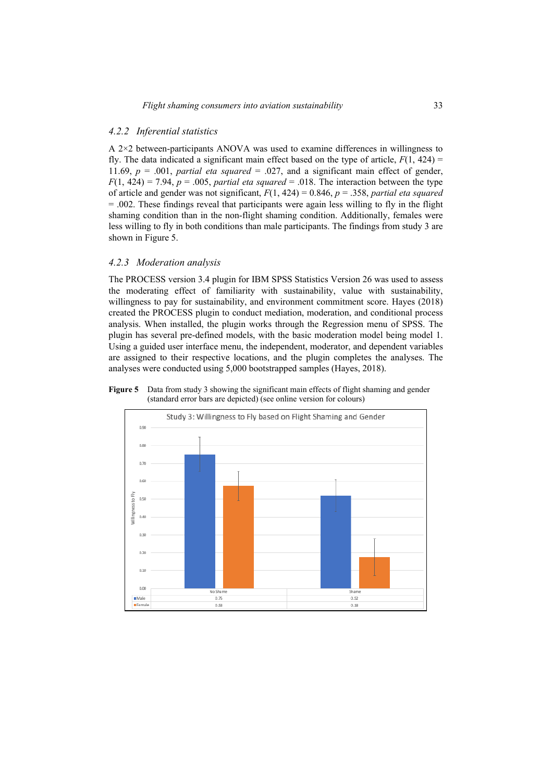### *4.2.2 Inferential statistics*

A 2×2 between-participants ANOVA was used to examine differences in willingness to fly. The data indicated a significant main effect based on the type of article,  $F(1, 424)$  = 11.69,  $p = .001$ , *partial eta squared* = .027, and a significant main effect of gender,  $F(1, 424) = 7.94$ ,  $p = .005$ , *partial eta squared* = .018. The interaction between the type of article and gender was not significant, *F*(1, 424) = 0.846, *p* = .358, *partial eta squared*  $= .002$ . These findings reveal that participants were again less willing to fly in the flight shaming condition than in the non-flight shaming condition. Additionally, females were less willing to fly in both conditions than male participants. The findings from study 3 are shown in Figure 5.

#### *4.2.3 Moderation analysis*

The PROCESS version 3.4 plugin for IBM SPSS Statistics Version 26 was used to assess the moderating effect of familiarity with sustainability, value with sustainability, willingness to pay for sustainability, and environment commitment score. Hayes (2018) created the PROCESS plugin to conduct mediation, moderation, and conditional process analysis. When installed, the plugin works through the Regression menu of SPSS. The plugin has several pre-defined models, with the basic moderation model being model 1. Using a guided user interface menu, the independent, moderator, and dependent variables are assigned to their respective locations, and the plugin completes the analyses. The analyses were conducted using 5,000 bootstrapped samples (Hayes, 2018).



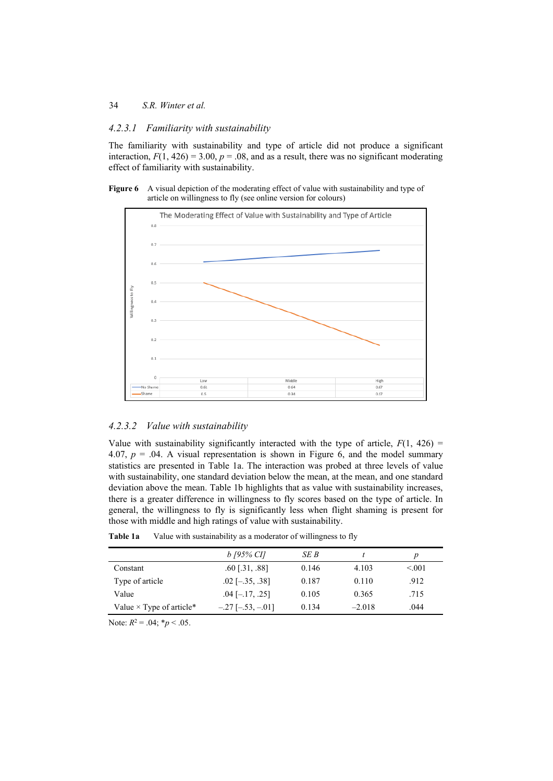#### 34 *S.R. Winter et al.*

#### *4.2.3.1 Familiarity with sustainability*

The familiarity with sustainability and type of article did not produce a significant interaction,  $F(1, 426) = 3.00$ ,  $p = .08$ , and as a result, there was no significant moderating effect of familiarity with sustainability.





#### *4.2.3.2 Value with sustainability*

Value with sustainability significantly interacted with the type of article,  $F(1, 426)$  = 4.07,  $p = 0.04$ . A visual representation is shown in Figure 6, and the model summary statistics are presented in Table 1a. The interaction was probed at three levels of value with sustainability, one standard deviation below the mean, at the mean, and one standard deviation above the mean. Table 1b highlights that as value with sustainability increases, there is a greater difference in willingness to fly scores based on the type of article. In general, the willingness to fly is significantly less when flight shaming is present for those with middle and high ratings of value with sustainability.

|                                 | b [95% CI]              | SE B  |          |        |
|---------------------------------|-------------------------|-------|----------|--------|
| Constant                        | $.60$ [.31, .88]        | 0.146 | 4.103    | < 0.01 |
| Type of article                 | $.02$ [ $-.35, .38$ ]   | 0.187 | 0.110    | .912   |
| Value                           | $.04$ [ $-.17, .25$ ]   | 0.105 | 0.365    | .715   |
| Value $\times$ Type of article* | $-.27$ [ $-.53, -.01$ ] | 0.134 | $-2.018$ | .044   |
|                                 |                         |       |          |        |

**Table 1a** Value with sustainability as a moderator of willingness to fly

Note:  $R^2 = .04$ ;  $p < .05$ .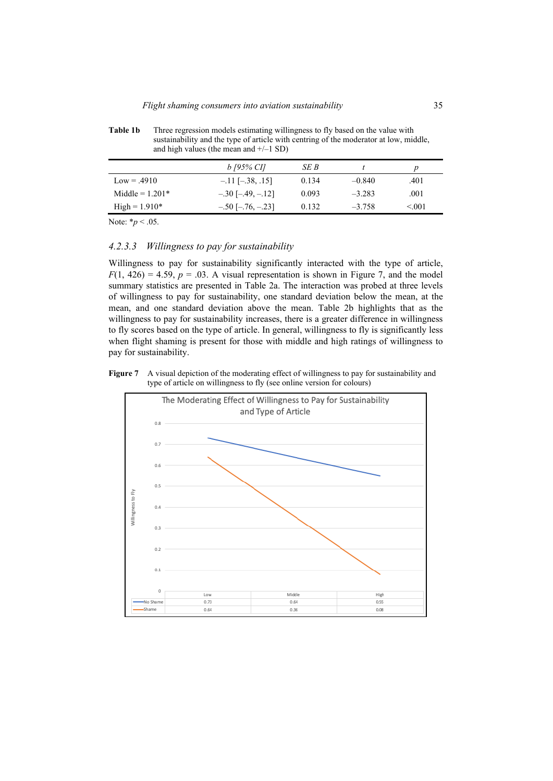**Table 1b** Three regression models estimating willingness to fly based on the value with sustainability and the type of article with centring of the moderator at low, middle, and high values (the mean and  $+/-1$  SD)

|                   | b [95% CI]              | SE B  |          |        |
|-------------------|-------------------------|-------|----------|--------|
| $Low = .4910$     | $-.11$ [ $-.38, .15$ ]  | 0.134 | $-0.840$ | .401   |
| Middle = $1.201*$ | $-.30[-.49, -.12]$      | 0.093 | $-3.283$ | .001   |
| $High = 1.910*$   | $-.50$ [ $-.76, -.23$ ] | 0.132 | $-3.758$ | < 0.01 |

Note: \**p* < .05.

### *4.2.3.3 Willingness to pay for sustainability*

Willingness to pay for sustainability significantly interacted with the type of article,  $F(1, 426) = 4.59$ ,  $p = .03$ . A visual representation is shown in Figure 7, and the model summary statistics are presented in Table 2a. The interaction was probed at three levels of willingness to pay for sustainability, one standard deviation below the mean, at the mean, and one standard deviation above the mean. Table 2b highlights that as the willingness to pay for sustainability increases, there is a greater difference in willingness to fly scores based on the type of article. In general, willingness to fly is significantly less when flight shaming is present for those with middle and high ratings of willingness to pay for sustainability.

**Figure 7** A visual depiction of the moderating effect of willingness to pay for sustainability and type of article on willingness to fly (see online version for colours)

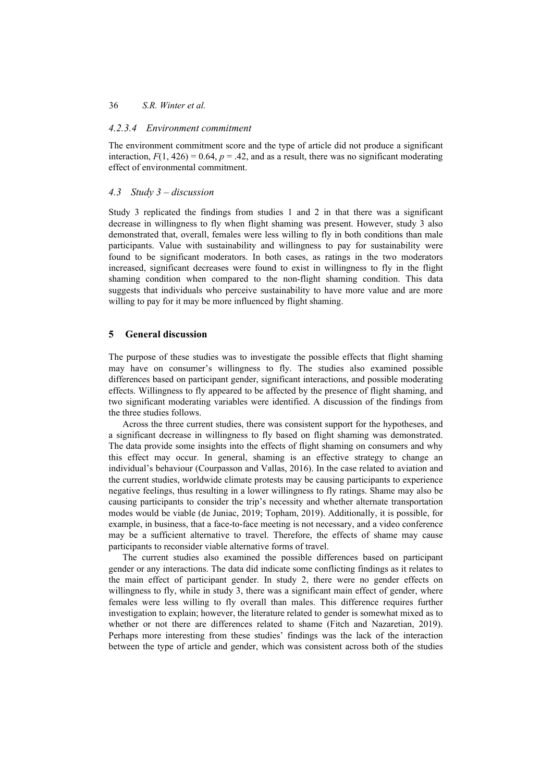### *4.2.3.4 Environment commitment*

The environment commitment score and the type of article did not produce a significant interaction,  $F(1, 426) = 0.64$ ,  $p = .42$ , and as a result, there was no significant moderating effect of environmental commitment.

### *4.3 Study 3 – discussion*

Study 3 replicated the findings from studies 1 and 2 in that there was a significant decrease in willingness to fly when flight shaming was present. However, study 3 also demonstrated that, overall, females were less willing to fly in both conditions than male participants. Value with sustainability and willingness to pay for sustainability were found to be significant moderators. In both cases, as ratings in the two moderators increased, significant decreases were found to exist in willingness to fly in the flight shaming condition when compared to the non-flight shaming condition. This data suggests that individuals who perceive sustainability to have more value and are more willing to pay for it may be more influenced by flight shaming.

### **5 General discussion**

The purpose of these studies was to investigate the possible effects that flight shaming may have on consumer's willingness to fly. The studies also examined possible differences based on participant gender, significant interactions, and possible moderating effects. Willingness to fly appeared to be affected by the presence of flight shaming, and two significant moderating variables were identified. A discussion of the findings from the three studies follows.

Across the three current studies, there was consistent support for the hypotheses, and a significant decrease in willingness to fly based on flight shaming was demonstrated. The data provide some insights into the effects of flight shaming on consumers and why this effect may occur. In general, shaming is an effective strategy to change an individual's behaviour (Courpasson and Vallas, 2016). In the case related to aviation and the current studies, worldwide climate protests may be causing participants to experience negative feelings, thus resulting in a lower willingness to fly ratings. Shame may also be causing participants to consider the trip's necessity and whether alternate transportation modes would be viable (de Juniac, 2019; Topham, 2019). Additionally, it is possible, for example, in business, that a face-to-face meeting is not necessary, and a video conference may be a sufficient alternative to travel. Therefore, the effects of shame may cause participants to reconsider viable alternative forms of travel.

The current studies also examined the possible differences based on participant gender or any interactions. The data did indicate some conflicting findings as it relates to the main effect of participant gender. In study 2, there were no gender effects on willingness to fly, while in study 3, there was a significant main effect of gender, where females were less willing to fly overall than males. This difference requires further investigation to explain; however, the literature related to gender is somewhat mixed as to whether or not there are differences related to shame (Fitch and Nazaretian, 2019). Perhaps more interesting from these studies' findings was the lack of the interaction between the type of article and gender, which was consistent across both of the studies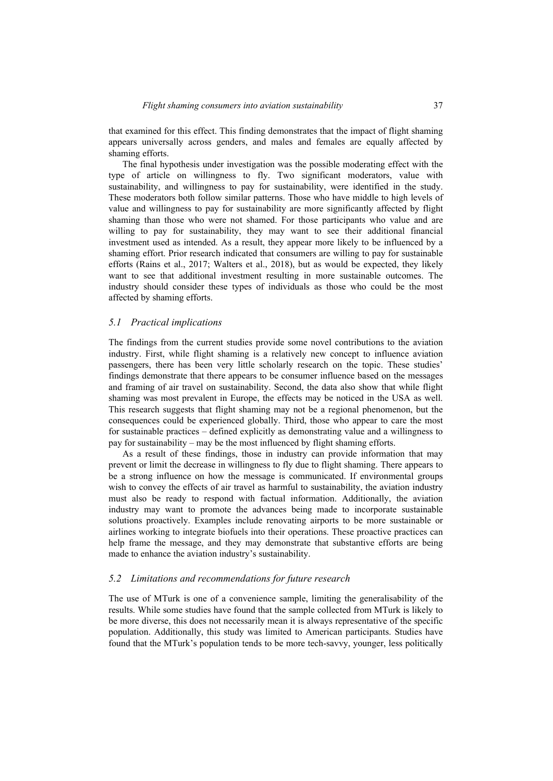that examined for this effect. This finding demonstrates that the impact of flight shaming appears universally across genders, and males and females are equally affected by shaming efforts.

The final hypothesis under investigation was the possible moderating effect with the type of article on willingness to fly. Two significant moderators, value with sustainability, and willingness to pay for sustainability, were identified in the study. These moderators both follow similar patterns. Those who have middle to high levels of value and willingness to pay for sustainability are more significantly affected by flight shaming than those who were not shamed. For those participants who value and are willing to pay for sustainability, they may want to see their additional financial investment used as intended. As a result, they appear more likely to be influenced by a shaming effort. Prior research indicated that consumers are willing to pay for sustainable efforts (Rains et al., 2017; Walters et al., 2018), but as would be expected, they likely want to see that additional investment resulting in more sustainable outcomes. The industry should consider these types of individuals as those who could be the most affected by shaming efforts.

#### *5.1 Practical implications*

The findings from the current studies provide some novel contributions to the aviation industry. First, while flight shaming is a relatively new concept to influence aviation passengers, there has been very little scholarly research on the topic. These studies' findings demonstrate that there appears to be consumer influence based on the messages and framing of air travel on sustainability. Second, the data also show that while flight shaming was most prevalent in Europe, the effects may be noticed in the USA as well. This research suggests that flight shaming may not be a regional phenomenon, but the consequences could be experienced globally. Third, those who appear to care the most for sustainable practices – defined explicitly as demonstrating value and a willingness to pay for sustainability – may be the most influenced by flight shaming efforts.

As a result of these findings, those in industry can provide information that may prevent or limit the decrease in willingness to fly due to flight shaming. There appears to be a strong influence on how the message is communicated. If environmental groups wish to convey the effects of air travel as harmful to sustainability, the aviation industry must also be ready to respond with factual information. Additionally, the aviation industry may want to promote the advances being made to incorporate sustainable solutions proactively. Examples include renovating airports to be more sustainable or airlines working to integrate biofuels into their operations. These proactive practices can help frame the message, and they may demonstrate that substantive efforts are being made to enhance the aviation industry's sustainability.

#### *5.2 Limitations and recommendations for future research*

The use of MTurk is one of a convenience sample, limiting the generalisability of the results. While some studies have found that the sample collected from MTurk is likely to be more diverse, this does not necessarily mean it is always representative of the specific population. Additionally, this study was limited to American participants. Studies have found that the MTurk's population tends to be more tech-savvy, younger, less politically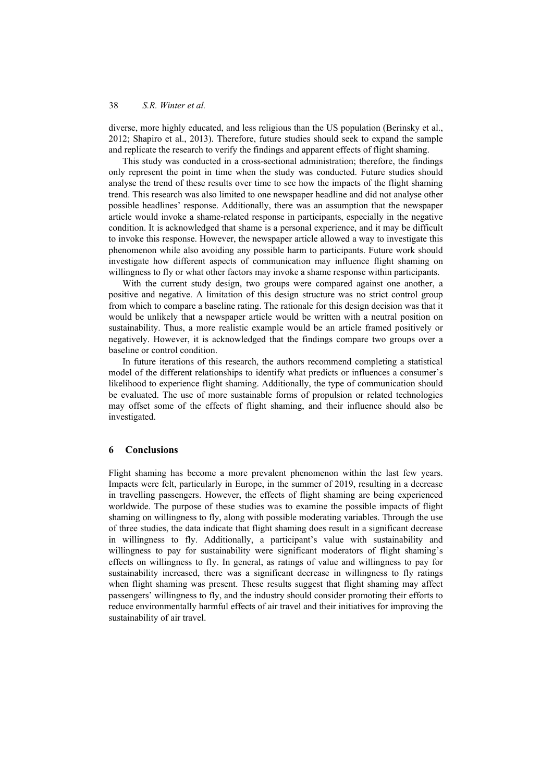diverse, more highly educated, and less religious than the US population (Berinsky et al., 2012; Shapiro et al., 2013). Therefore, future studies should seek to expand the sample and replicate the research to verify the findings and apparent effects of flight shaming.

This study was conducted in a cross-sectional administration; therefore, the findings only represent the point in time when the study was conducted. Future studies should analyse the trend of these results over time to see how the impacts of the flight shaming trend. This research was also limited to one newspaper headline and did not analyse other possible headlines' response. Additionally, there was an assumption that the newspaper article would invoke a shame-related response in participants, especially in the negative condition. It is acknowledged that shame is a personal experience, and it may be difficult to invoke this response. However, the newspaper article allowed a way to investigate this phenomenon while also avoiding any possible harm to participants. Future work should investigate how different aspects of communication may influence flight shaming on willingness to fly or what other factors may invoke a shame response within participants.

With the current study design, two groups were compared against one another, a positive and negative. A limitation of this design structure was no strict control group from which to compare a baseline rating. The rationale for this design decision was that it would be unlikely that a newspaper article would be written with a neutral position on sustainability. Thus, a more realistic example would be an article framed positively or negatively. However, it is acknowledged that the findings compare two groups over a baseline or control condition.

In future iterations of this research, the authors recommend completing a statistical model of the different relationships to identify what predicts or influences a consumer's likelihood to experience flight shaming. Additionally, the type of communication should be evaluated. The use of more sustainable forms of propulsion or related technologies may offset some of the effects of flight shaming, and their influence should also be investigated.

### **6 Conclusions**

Flight shaming has become a more prevalent phenomenon within the last few years. Impacts were felt, particularly in Europe, in the summer of 2019, resulting in a decrease in travelling passengers. However, the effects of flight shaming are being experienced worldwide. The purpose of these studies was to examine the possible impacts of flight shaming on willingness to fly, along with possible moderating variables. Through the use of three studies, the data indicate that flight shaming does result in a significant decrease in willingness to fly. Additionally, a participant's value with sustainability and willingness to pay for sustainability were significant moderators of flight shaming's effects on willingness to fly. In general, as ratings of value and willingness to pay for sustainability increased, there was a significant decrease in willingness to fly ratings when flight shaming was present. These results suggest that flight shaming may affect passengers' willingness to fly, and the industry should consider promoting their efforts to reduce environmentally harmful effects of air travel and their initiatives for improving the sustainability of air travel.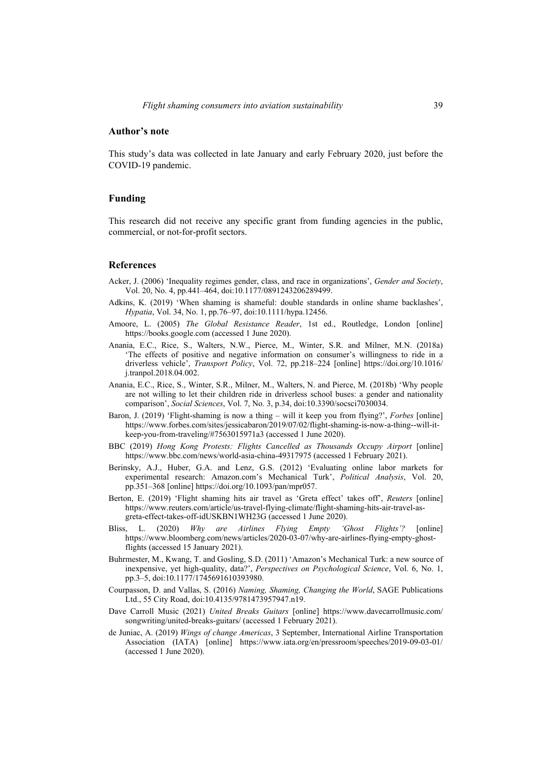#### **Author's note**

This study's data was collected in late January and early February 2020, just before the COVID-19 pandemic.

### **Funding**

This research did not receive any specific grant from funding agencies in the public, commercial, or not-for-profit sectors.

#### **References**

- Acker, J. (2006) 'Inequality regimes gender, class, and race in organizations', *Gender and Society*, Vol. 20, No. 4, pp.441–464, doi:10.1177/0891243206289499.
- Adkins, K. (2019) 'When shaming is shameful: double standards in online shame backlashes', *Hypatia*, Vol. 34, No. 1, pp.76–97, doi:10.1111/hypa.12456.
- Amoore, L. (2005) *The Global Resistance Reader*, 1st ed., Routledge, London [online] https://books.google.com (accessed 1 June 2020).
- Anania, E.C., Rice, S., Walters, N.W., Pierce, M., Winter, S.R. and Milner, M.N. (2018a) 'The effects of positive and negative information on consumer's willingness to ride in a driverless vehicle', *Transport Policy*, Vol. 72, pp.218–224 [online] https://doi.org/10.1016/ j.tranpol.2018.04.002.
- Anania, E.C., Rice, S., Winter, S.R., Milner, M., Walters, N. and Pierce, M. (2018b) 'Why people are not willing to let their children ride in driverless school buses: a gender and nationality comparison', *Social Sciences*, Vol. 7, No. 3, p.34, doi:10.3390/socsci7030034.
- Baron, J. (2019) 'Flight-shaming is now a thing will it keep you from flying?', *Forbes* [online] https://www.forbes.com/sites/jessicabaron/2019/07/02/flight-shaming-is-now-a-thing--will-itkeep-you-from-traveling/#7563015971a3 (accessed 1 June 2020).
- BBC (2019) *Hong Kong Protests: Flights Cancelled as Thousands Occupy Airport* [online] https://www.bbc.com/news/world-asia-china-49317975 (accessed 1 February 2021).
- Berinsky, A.J., Huber, G.A. and Lenz, G.S. (2012) 'Evaluating online labor markets for experimental research: Amazon.com's Mechanical Turk', *Political Analysis*, Vol. 20, pp.351–368 [online] https://doi.org/10.1093/pan/mpr057.
- Berton, E. (2019) 'Flight shaming hits air travel as 'Greta effect' takes off', *Reuters* [online] https://www.reuters.com/article/us-travel-flying-climate/flight-shaming-hits-air-travel-asgreta-effect-takes-off-idUSKBN1WH23G (accessed 1 June 2020).
- Bliss, L. (2020) *Why are Airlines Flying Empty 'Ghost Flights'?* [online] https://www.bloomberg.com/news/articles/2020-03-07/why-are-airlines-flying-empty-ghostflights (accessed 15 January 2021).
- Buhrmester, M., Kwang, T. and Gosling, S.D. (2011) 'Amazon's Mechanical Turk: a new source of inexpensive, yet high-quality, data?', *Perspectives on Psychological Science*, Vol. 6, No. 1, pp.3–5, doi:10.1177/1745691610393980.
- Courpasson, D. and Vallas, S. (2016) *Naming, Shaming, Changing the World*, SAGE Publications Ltd., 55 City Road, doi:10.4135/9781473957947.n19.
- Dave Carroll Music (2021) *United Breaks Guitars* [online] https://www.davecarrollmusic.com/ songwriting/united-breaks-guitars/ (accessed 1 February 2021).
- de Juniac, A. (2019) *Wings of change Americas*, 3 September, International Airline Transportation Association (IATA) [online] https://www.iata.org/en/pressroom/speeches/2019-09-03-01/ (accessed 1 June 2020).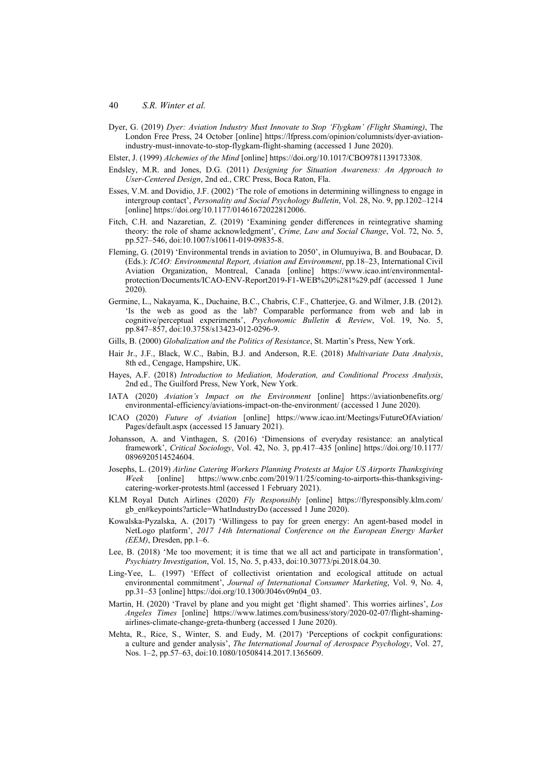- Dyer, G. (2019) *Dyer: Aviation Industry Must Innovate to Stop 'Flygkam' (Flight Shaming)*, The London Free Press, 24 October [online] https://lfpress.com/opinion/columnists/dyer-aviationindustry-must-innovate-to-stop-flygkam-flight-shaming (accessed 1 June 2020).
- Elster, J. (1999) *Alchemies of the Mind* [online] https://doi.org/10.1017/CBO9781139173308.
- Endsley, M.R. and Jones, D.G. (2011) *Designing for Situation Awareness: An Approach to User-Centered Design*, 2nd ed., CRC Press, Boca Raton, Fla.
- Esses, V.M. and Dovidio, J.F. (2002) 'The role of emotions in determining willingness to engage in intergroup contact', *Personality and Social Psychology Bulletin*, Vol. 28, No. 9, pp.1202–1214 [online] https://doi.org/10.1177/01461672022812006.
- Fitch, C.H. and Nazaretian, Z. (2019) 'Examining gender differences in reintegrative shaming theory: the role of shame acknowledgment', *Crime, Law and Social Change*, Vol. 72, No. 5, pp.527–546, doi:10.1007/s10611-019-09835-8.
- Fleming, G. (2019) 'Environmental trends in aviation to 2050', in Olumuyiwa, B. and Boubacar, D. (Eds.): *ICAO: Environmental Report, Aviation and Environment*, pp.18–23, International Civil Aviation Organization, Montreal, Canada [online] https://www.icao.int/environmentalprotection/Documents/ICAO-ENV-Report2019-F1-WEB%20%281%29.pdf (accessed 1 June 2020).
- Germine, L., Nakayama, K., Duchaine, B.C., Chabris, C.F., Chatterjee, G. and Wilmer, J.B. (2012). 'Is the web as good as the lab? Comparable performance from web and lab in cognitive/perceptual experiments', *Psychonomic Bulletin & Review*, Vol. 19, No. 5, pp.847–857, doi:10.3758/s13423-012-0296-9.
- Gills, B. (2000) *Globalization and the Politics of Resistance*, St. Martin's Press, New York.
- Hair Jr., J.F., Black, W.C., Babin, B.J. and Anderson, R.E. (2018) *Multivariate Data Analysis*, 8th ed., Cengage, Hampshire, UK.
- Hayes, A.F. (2018) *Introduction to Mediation, Moderation, and Conditional Process Analysis*, 2nd ed., The Guilford Press, New York, New York.
- IATA (2020) *Aviation's Impact on the Environment* [online] https://aviationbenefits.org/ environmental-efficiency/aviations-impact-on-the-environment/ (accessed 1 June 2020).
- ICAO (2020) *Future of Aviation* [online] https://www.icao.int/Meetings/FutureOfAviation/ Pages/default.aspx (accessed 15 January 2021).
- Johansson, A. and Vinthagen, S. (2016) 'Dimensions of everyday resistance: an analytical framework', *Critical Sociology*, Vol. 42, No. 3, pp.417–435 [online] https://doi.org/10.1177/ 0896920514524604.
- Josephs, L. (2019) *Airline Catering Workers Planning Protests at Major US Airports Thanksgiving Week* [online] https://www.cnbc.com/2019/11/25/coming-to-airports-this-thanksgivingcatering-worker-protests.html (accessed 1 February 2021).
- KLM Royal Dutch Airlines (2020) *Fly Responsibly* [online] https://flyresponsibly.klm.com/ gb\_en#keypoints?article=WhatIndustryDo (accessed 1 June 2020).
- Kowalska-Pyzalska, A. (2017) 'Willingess to pay for green energy: An agent-based model in NetLogo platform', *2017 14th International Conference on the European Energy Market (EEM)*, Dresden, pp.1–6.
- Lee, B. (2018) 'Me too movement; it is time that we all act and participate in transformation', *Psychiatry Investigation*, Vol. 15, No. 5, p.433, doi:10.30773/pi.2018.04.30.
- Ling-Yee, L. (1997) 'Effect of collectivist orientation and ecological attitude on actual environmental commitment', *Journal of International Consumer Marketing*, Vol. 9, No. 4, pp.31–53 [online] https://doi.org/10.1300/J046v09n04\_03.
- Martin, H. (2020) 'Travel by plane and you might get 'flight shamed'. This worries airlines', *Los Angeles Times* [online] https://www.latimes.com/business/story/2020-02-07/flight-shamingairlines-climate-change-greta-thunberg (accessed 1 June 2020).
- Mehta, R., Rice, S., Winter, S. and Eudy, M. (2017) 'Perceptions of cockpit configurations: a culture and gender analysis', *The International Journal of Aerospace Psychology*, Vol. 27, Nos. 1–2, pp.57–63, doi:10.1080/10508414.2017.1365609.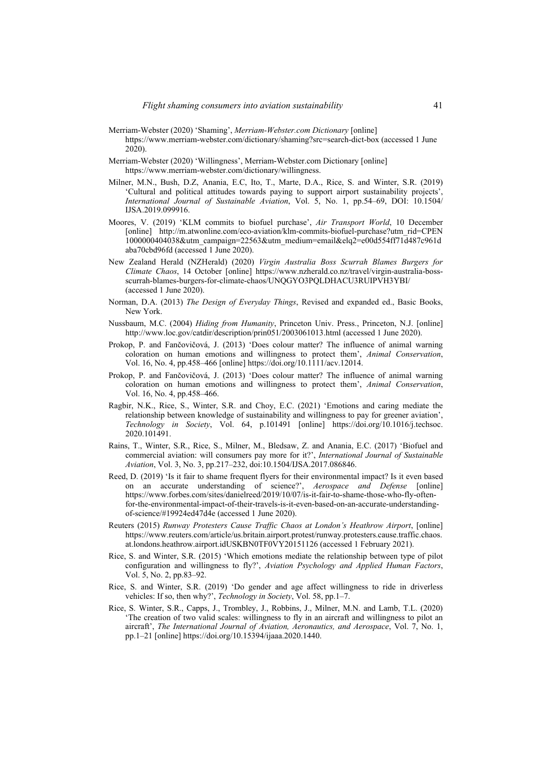- Merriam-Webster (2020) 'Shaming', *Merriam-Webster.com Dictionary* [online] https://www.merriam-webster.com/dictionary/shaming?src=search-dict-box (accessed 1 June 2020).
- Merriam-Webster (2020) 'Willingness', Merriam-Webster.com Dictionary [online] https://www.merriam-webster.com/dictionary/willingness.
- Milner, M.N., Bush, D.Z, Anania, E.C, Ito, T., Marte, D.A., Rice, S. and Winter, S.R. (2019) 'Cultural and political attitudes towards paying to support airport sustainability projects', *International Journal of Sustainable Aviation*, Vol. 5, No. 1, pp.54–69, DOI: 10.1504/ IJSA.2019.099916.
- Moores, V. (2019) 'KLM commits to biofuel purchase', *Air Transport World*, 10 December [online] http://m.atwonline.com/eco-aviation/klm-commits-biofuel-purchase?utm\_rid=CPEN 1000000404038&utm\_campaign=22563&utm\_medium=email&elq2=e00d554ff71d487c961d aba70cbd96fd (accessed 1 June 2020).
- New Zealand Herald (NZHerald) (2020) *Virgin Australia Boss Scurrah Blames Burgers for Climate Chaos*, 14 October [online] https://www.nzherald.co.nz/travel/virgin-australia-bossscurrah-blames-burgers-for-climate-chaos/UNQGYO3PQLDHACU3RUIPVH3YBI/ (accessed 1 June 2020).
- Norman, D.A. (2013) *The Design of Everyday Things*, Revised and expanded ed., Basic Books, New York.
- Nussbaum, M.C. (2004) *Hiding from Humanity*, Princeton Univ. Press., Princeton, N.J. [online] http://www.loc.gov/catdir/description/prin051/2003061013.html (accessed 1 June 2020).
- Prokop, P. and Fančovičová, J. (2013) 'Does colour matter? The influence of animal warning coloration on human emotions and willingness to protect them', *Animal Conservation*, Vol. 16, No. 4, pp.458–466 [online] https://doi.org/10.1111/acv.12014.
- Prokop, P. and Fančovičová, J. (2013) 'Does colour matter? The influence of animal warning coloration on human emotions and willingness to protect them', *Animal Conservation*, Vol. 16, No. 4, pp.458–466.
- Ragbir, N.K., Rice, S., Winter, S.R. and Choy, E.C. (2021) 'Emotions and caring mediate the relationship between knowledge of sustainability and willingness to pay for greener aviation', *Technology in Society*, Vol. 64, p.101491 [online] https://doi.org/10.1016/j.techsoc. 2020.101491.
- Rains, T., Winter, S.R., Rice, S., Milner, M., Bledsaw, Z. and Anania, E.C. (2017) 'Biofuel and commercial aviation: will consumers pay more for it?', *International Journal of Sustainable Aviation*, Vol. 3, No. 3, pp.217–232, doi:10.1504/IJSA.2017.086846.
- Reed, D. (2019) 'Is it fair to shame frequent flyers for their environmental impact? Is it even based on an accurate understanding of science?', *Aerospace and Defense* [online] https://www.forbes.com/sites/danielreed/2019/10/07/is-it-fair-to-shame-those-who-fly-oftenfor-the-environmental-impact-of-their-travels-is-it-even-based-on-an-accurate-understandingof-science/#19924ed47d4e (accessed 1 June 2020).
- Reuters (2015) *Runway Protesters Cause Traffic Chaos at London's Heathrow Airport*, [online] https://www.reuters.com/article/us.britain.airport.protest/runway.protesters.cause.traffic.chaos. at.londons.heathrow.airport.idUSKBN0TF0VY20151126 (accessed 1 February 2021).
- Rice, S. and Winter, S.R. (2015) 'Which emotions mediate the relationship between type of pilot configuration and willingness to fly?', *Aviation Psychology and Applied Human Factors*, Vol. 5, No. 2, pp.83–92.
- Rice, S. and Winter, S.R. (2019) 'Do gender and age affect willingness to ride in driverless vehicles: If so, then why?', *Technology in Society*, Vol. 58, pp.1–7.
- Rice, S. Winter, S.R., Capps, J., Trombley, J., Robbins, J., Milner, M.N. and Lamb, T.L. (2020) 'The creation of two valid scales: willingness to fly in an aircraft and willingness to pilot an aircraft', *The International Journal of Aviation, Aeronautics, and Aerospace*, Vol. 7, No. 1, pp.1–21 [online] https://doi.org/10.15394/ijaaa.2020.1440.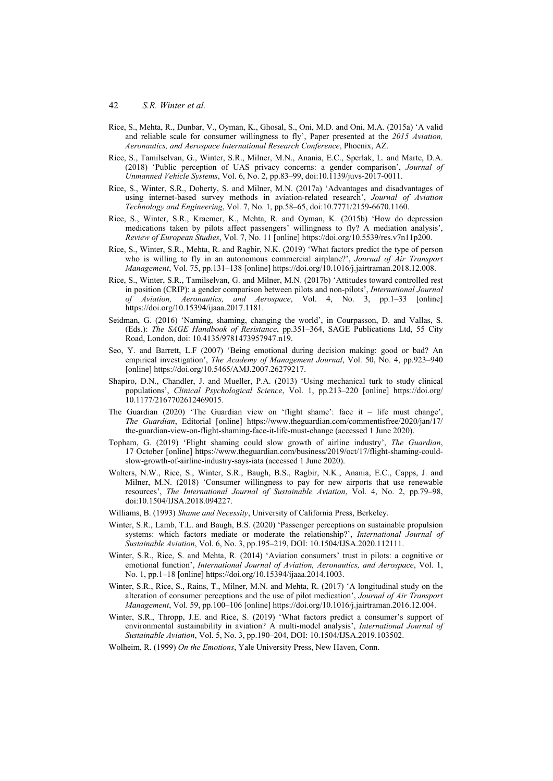- Rice, S., Mehta, R., Dunbar, V., Oyman, K., Ghosal, S., Oni, M.D. and Oni, M.A. (2015a) 'A valid and reliable scale for consumer willingness to fly', Paper presented at the *2015 Aviation, Aeronautics, and Aerospace International Research Conference*, Phoenix, AZ.
- Rice, S., Tamilselvan, G., Winter, S.R., Milner, M.N., Anania, E.C., Sperlak, L. and Marte, D.A. (2018) 'Public perception of UAS privacy concerns: a gender comparison', *Journal of Unmanned Vehicle Systems*, Vol. 6, No. 2, pp.83–99, doi:10.1139/juvs-2017-0011.
- Rice, S., Winter, S.R., Doherty, S. and Milner, M.N. (2017a) 'Advantages and disadvantages of using internet-based survey methods in aviation-related research', *Journal of Aviation Technology and Engineering*, Vol. 7, No. 1, pp.58–65, doi:10.7771/2159-6670.1160.
- Rice, S., Winter, S.R., Kraemer, K., Mehta, R. and Oyman, K. (2015b) 'How do depression medications taken by pilots affect passengers' willingness to fly? A mediation analysis', *Review of European Studies*, Vol. 7, No. 11 [online] https://doi.org/10.5539/res.v7n11p200.
- Rice, S., Winter, S.R., Mehta, R. and Ragbir, N.K. (2019) 'What factors predict the type of person who is willing to fly in an autonomous commercial airplane?', *Journal of Air Transport Management*, Vol. 75, pp.131–138 [online] https://doi.org/10.1016/j.jairtraman.2018.12.008.
- Rice, S., Winter, S.R., Tamilselvan, G. and Milner, M.N. (2017b) 'Attitudes toward controlled rest in position (CRIP): a gender comparison between pilots and non-pilots', *International Journal of Aviation, Aeronautics, and Aerospace*, Vol. 4, No. 3, pp.1–33 [online] https://doi.org/10.15394/ijaaa.2017.1181.
- Seidman, G. (2016) 'Naming, shaming, changing the world', in Courpasson, D. and Vallas, S. (Eds.): *The SAGE Handbook of Resistance*, pp.351–364, SAGE Publications Ltd, 55 City Road, London, doi: 10.4135/9781473957947.n19.
- Seo, Y. and Barrett, L.F (2007) 'Being emotional during decision making: good or bad? An empirical investigation', *The Academy of Management Journal*, Vol. 50, No. 4, pp.923–940 [online] https://doi.org/10.5465/AMJ.2007.26279217.
- Shapiro, D.N., Chandler, J. and Mueller, P.A. (2013) 'Using mechanical turk to study clinical populations', *Clinical Psychological Science*, Vol. 1, pp.213–220 [online] https://doi.org/ 10.1177/2167702612469015.
- The Guardian  $(2020)$  'The Guardian view on 'flight shame': face it life must change', *The Guardian*, Editorial [online] https://www.theguardian.com/commentisfree/2020/jan/17/ the-guardian-view-on-flight-shaming-face-it-life-must-change (accessed 1 June 2020).
- Topham, G. (2019) 'Flight shaming could slow growth of airline industry', *The Guardian*, 17 October [online] https://www.theguardian.com/business/2019/oct/17/flight-shaming-couldslow-growth-of-airline-industry-says-iata (accessed 1 June 2020).
- Walters, N.W., Rice, S., Winter, S.R., Baugh, B.S., Ragbir, N.K., Anania, E.C., Capps, J. and Milner, M.N. (2018) 'Consumer willingness to pay for new airports that use renewable resources', *The International Journal of Sustainable Aviation*, Vol. 4, No. 2, pp.79–98, doi:10.1504/IJSA.2018.094227.
- Williams, B. (1993) *Shame and Necessity*, University of California Press, Berkeley.
- Winter, S.R., Lamb, T.L. and Baugh, B.S. (2020) 'Passenger perceptions on sustainable propulsion systems: which factors mediate or moderate the relationship?', *International Journal of Sustainable Aviation*, Vol. 6, No. 3, pp.195–219, DOI: 10.1504/IJSA.2020.112111.
- Winter, S.R., Rice, S. and Mehta, R. (2014) 'Aviation consumers' trust in pilots: a cognitive or emotional function', *International Journal of Aviation, Aeronautics, and Aerospace*, Vol. 1, No. 1, pp.1–18 [online] https://doi.org/10.15394/ijaaa.2014.1003.
- Winter, S.R., Rice, S., Rains, T., Milner, M.N. and Mehta, R. (2017) 'A longitudinal study on the alteration of consumer perceptions and the use of pilot medication', *Journal of Air Transport Management*, Vol. 59, pp.100–106 [online] https://doi.org/10.1016/j.jairtraman.2016.12.004.
- Winter, S.R., Thropp, J.E. and Rice, S. (2019) 'What factors predict a consumer's support of environmental sustainability in aviation? A multi-model analysis', *International Journal of Sustainable Aviation*, Vol. 5, No. 3, pp.190–204, DOI: 10.1504/IJSA.2019.103502.
- Wolheim, R. (1999) *On the Emotions*, Yale University Press, New Haven, Conn.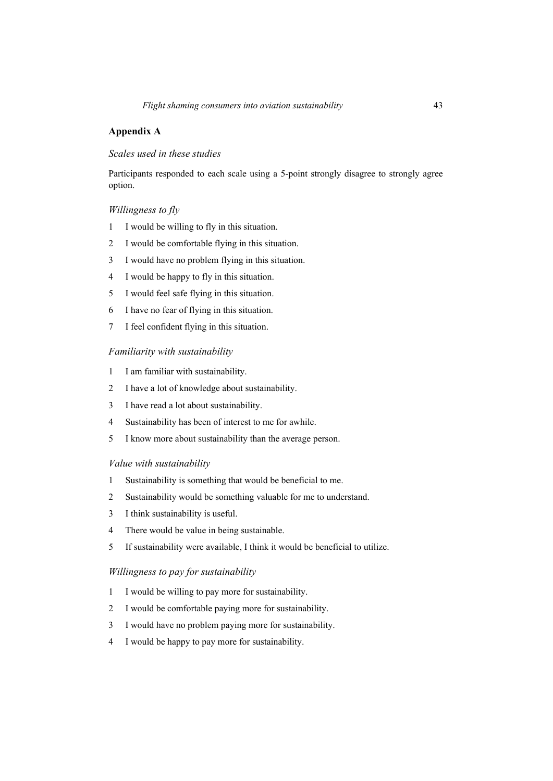## **Appendix A**

## *Scales used in these studies*

Participants responded to each scale using a 5-point strongly disagree to strongly agree option.

## *Willingness to fly*

- 1 I would be willing to fly in this situation.
- 2 I would be comfortable flying in this situation.
- 3 I would have no problem flying in this situation.
- 4 I would be happy to fly in this situation.
- 5 I would feel safe flying in this situation.
- 6 I have no fear of flying in this situation.
- 7 I feel confident flying in this situation.

## *Familiarity with sustainability*

- 1 I am familiar with sustainability.
- 2 I have a lot of knowledge about sustainability.
- 3 I have read a lot about sustainability.
- 4 Sustainability has been of interest to me for awhile.
- 5 I know more about sustainability than the average person.

## *Value with sustainability*

- 1 Sustainability is something that would be beneficial to me.
- 2 Sustainability would be something valuable for me to understand.
- 3 I think sustainability is useful.
- 4 There would be value in being sustainable.
- 5 If sustainability were available, I think it would be beneficial to utilize.

## *Willingness to pay for sustainability*

- 1 I would be willing to pay more for sustainability.
- 2 I would be comfortable paying more for sustainability.
- 3 I would have no problem paying more for sustainability.
- 4 I would be happy to pay more for sustainability.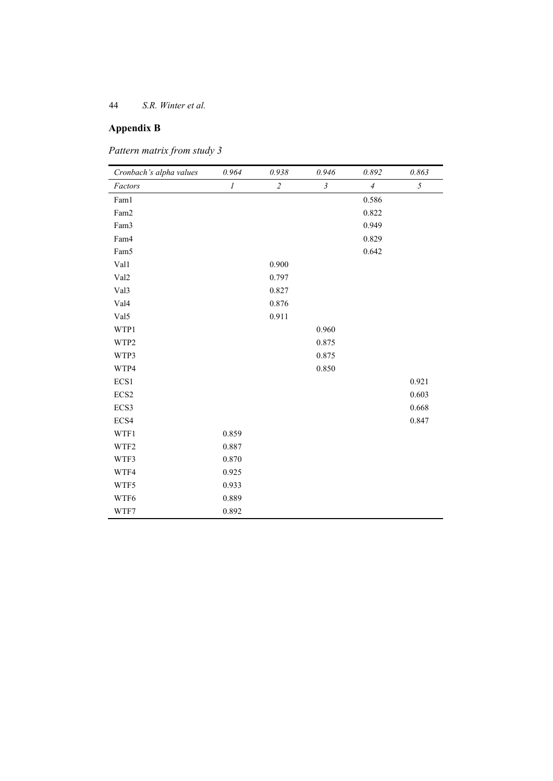# **Appendix B**

| Pattern matrix from study 3 |  |  |  |
|-----------------------------|--|--|--|
|-----------------------------|--|--|--|

| Cronbach's alpha values | 0.964    | 0.938          | 0.946          | 0.892          | 0.863      |
|-------------------------|----------|----------------|----------------|----------------|------------|
| Factors                 | $\cal I$ | $\overline{c}$ | $\mathfrak{Z}$ | $\overline{4}$ | $\sqrt{2}$ |
| Fam1                    |          |                |                | 0.586          |            |
| Fam2                    |          |                |                | 0.822          |            |
| Fam3                    |          |                |                | 0.949          |            |
| Fam4                    |          |                |                | 0.829          |            |
| Fam5                    |          |                |                | 0.642          |            |
| Val1                    |          | 0.900          |                |                |            |
| Val <sub>2</sub>        |          | 0.797          |                |                |            |
| Val3                    |          | 0.827          |                |                |            |
| Val4                    |          | 0.876          |                |                |            |
| Val5                    |          | 0.911          |                |                |            |
| WTP1                    |          |                | 0.960          |                |            |
| WTP2                    |          |                | 0.875          |                |            |
| WTP3                    |          |                | 0.875          |                |            |
| WTP4                    |          |                | 0.850          |                |            |
| ECS1                    |          |                |                |                | 0.921      |
| ECS2                    |          |                |                |                | 0.603      |
| ECS3                    |          |                |                |                | 0.668      |
| ECS4                    |          |                |                |                | 0.847      |
| WTF1                    | 0.859    |                |                |                |            |
| WTF2                    | 0.887    |                |                |                |            |
| WTF3                    | 0.870    |                |                |                |            |
| WTF4                    | 0.925    |                |                |                |            |
| WTF5                    | 0.933    |                |                |                |            |
| WTF6                    | 0.889    |                |                |                |            |
| WTF7                    | 0.892    |                |                |                |            |